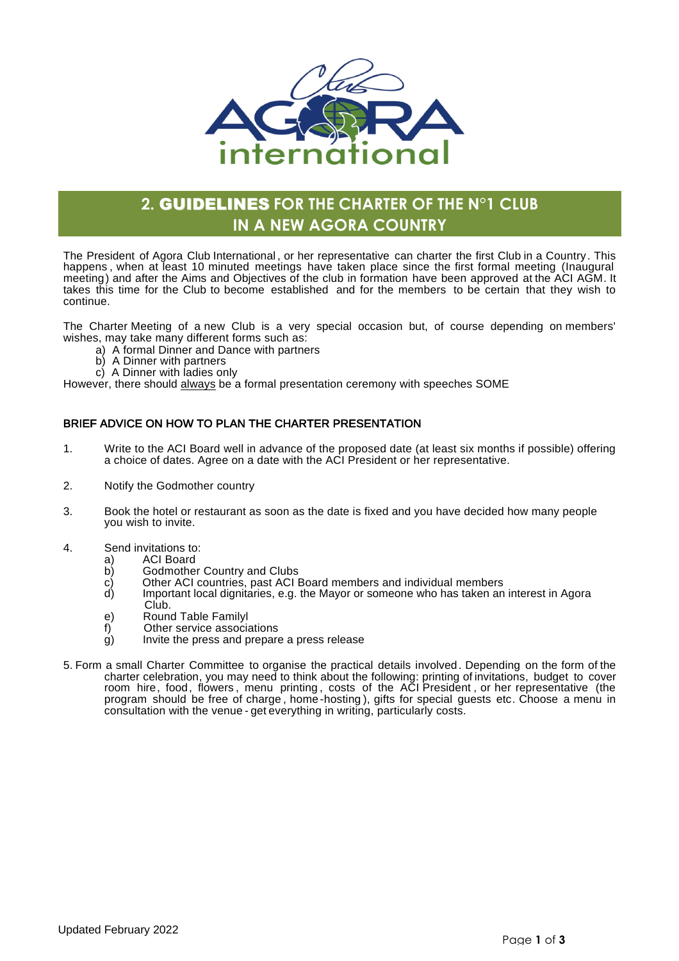

# **2.** GUIDELINES **FOR THE CHARTER OF THE N°1 CLUB IN A NEW AGORA COUNTRY**

The President of Agora Club International , or her representative can charter the first Club in a Country. This happens, when at least 10 minuted meetings have taken place since the first formal meeting (Inaugural meeting) and after the Aims and Objectives of the club in formation have been approved at the ACI AGM. It takes this time for the Club to become established and for the members to be certain that they wish to continue.

The Charter Meeting of a new Club is a very special occasion but, of course depending on members' wishes, may take many different forms such as:

- a) A formal Dinner and Dance with partners
- b) A Dinner with partners
- c) A Dinner with ladies only

However, there should always be a formal presentation ceremony with speeches SOME

# BRIEF ADVICE ON HOW TO PLAN THE CHARTER PRESENTATION

- 1. Write to the ACI Board well in advance of the proposed date (at least six months if possible) offering a choice of dates. Agree on a date with the ACI President or her representative.
- 2. Notify the Godmother country
- 3. Book the hotel or restaurant as soon as the date is fixed and you have decided how many people you wish to invite.
- 4. Send invitations to:
	- a) ACI Board<br>b) Godmother
	- b) Godmother Country and Clubs<br>c) Other ACI countries, past ACI E
	- c) Cther ACI countries, past ACI Board members and individual members<br>d) Important local dignitaries, e.g. the Mavor or someone who has taken an
	- Important local dignitaries, e.g. the Mayor or someone who has taken an interest in Agora
	- Club.
	- e) Round Table Familyl
	- f) Other service associations
	- $\dot{g}$ ) Invite the press and prepare a press release
- 5. Form a small Charter Committee to organise the practical details involved. Depending on the form of the charter celebration, you may need to think about the following: printing of invitations, budget to cover room hire, food, flowers , menu printing , costs of the ACI President , or her representative (the program should be free of charge, home -hosting), gifts for special guests etc. Choose a menu in consultation with the venue - get everything in writing, particularly costs.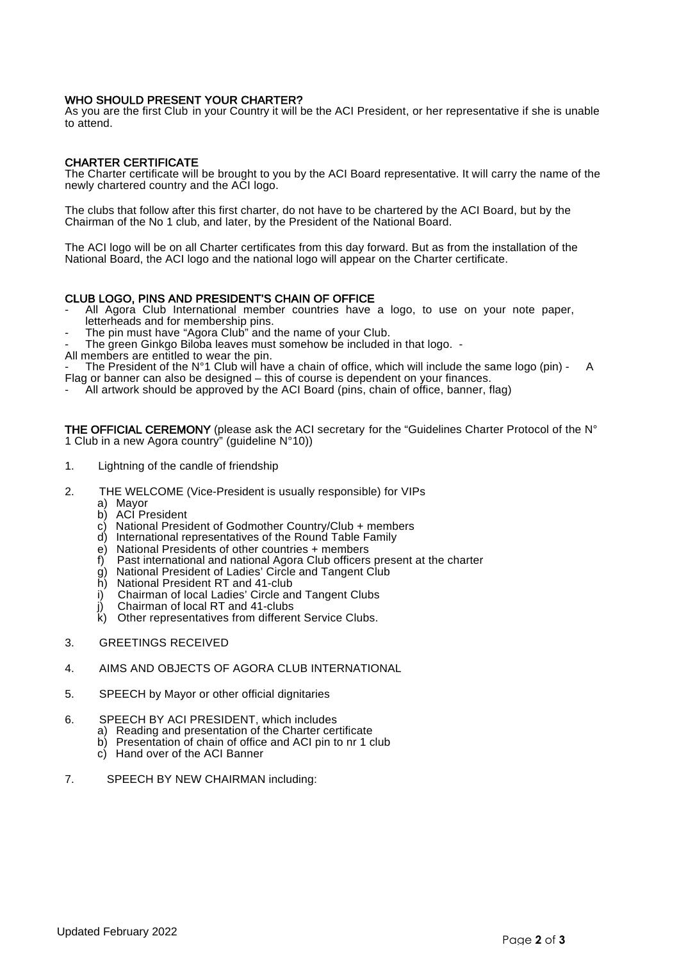#### WHO SHOULD PRESENT YOUR CHARTER?

As you are the first Club in your Country it will be the ACI President, or her representative if she is unable to attend.

## CHARTER CERTIFICATE

The Charter certificate will be brought to you by the ACI Board representative. It will carry the name of the newly chartered country and the ACI logo.

The clubs that follow after this first charter, do not have to be chartered by the ACI Board, but by the Chairman of the No 1 club, and later, by the President of the National Board.

The ACI logo will be on all Charter certificates from this day forward. But as from the installation of the National Board, the ACI logo and the national logo will appear on the Charter certificate.

## CLUB LOGO, PINS AND PRESIDENT'S CHAIN OF OFFICE

- All Agora Club International member countries have a logo, to use on your note paper, letterheads and for membership pins.
- The pin must have "Agora Club" and the name of your Club.
- The green Ginkgo Biloba leaves must somehow be included in that logo. -
- All members are entitled to wear the pin.

- The President of the N°1 Club will have a chain of office, which will include the same logo (pin) - A Flag or banner can also be designed – this of course is dependent on your finances.

-  $\overline{\phantom{a}}$  All artwork should be approved by the ACI Board (pins, chain of office, banner, flag)

THE OFFICIAL CEREMONY (please ask the ACI secretary for the "Guidelines Charter Protocol of the N° 1 Club in a new Agora country" (guideline N°10))

- 1. Lightning of the candle of friendship
- 2. THE WELCOME (Vice-President is usually responsible) for VIPs
	- a) Mayor
	- b) ACI President
	- c) National President of Godmother Country/Club + members
	- d) International representatives of the Round Table Family
	- e) National Presidents of other countries + members
	- f) Past international and national Agora Club officers present at the charter
	- g) National President of Ladies' Circle and Tangent Club
	- h) National President RT and 41-club
	- i) Chairman of local Ladies' Circle and Tangent Clubs
	- Chairman of local RT and 41-clubs
	- Other representatives from different Service Clubs.
- 3. GREETINGS RECEIVED
- 4. AIMS AND OBJECTS OF AGORA CLUB INTERNATIONAL
- 5. SPEECH by Mayor or other official dignitaries
- 6. SPEECH BY ACI PRESIDENT, which includes
	- a) Reading and presentation of the Charter certificate
	- b) Presentation of chain of office and ACI pin to nr 1 club
	- c) Hand over of the ACI Banner
- 7. SPEECH BY NEW CHAIRMAN including: